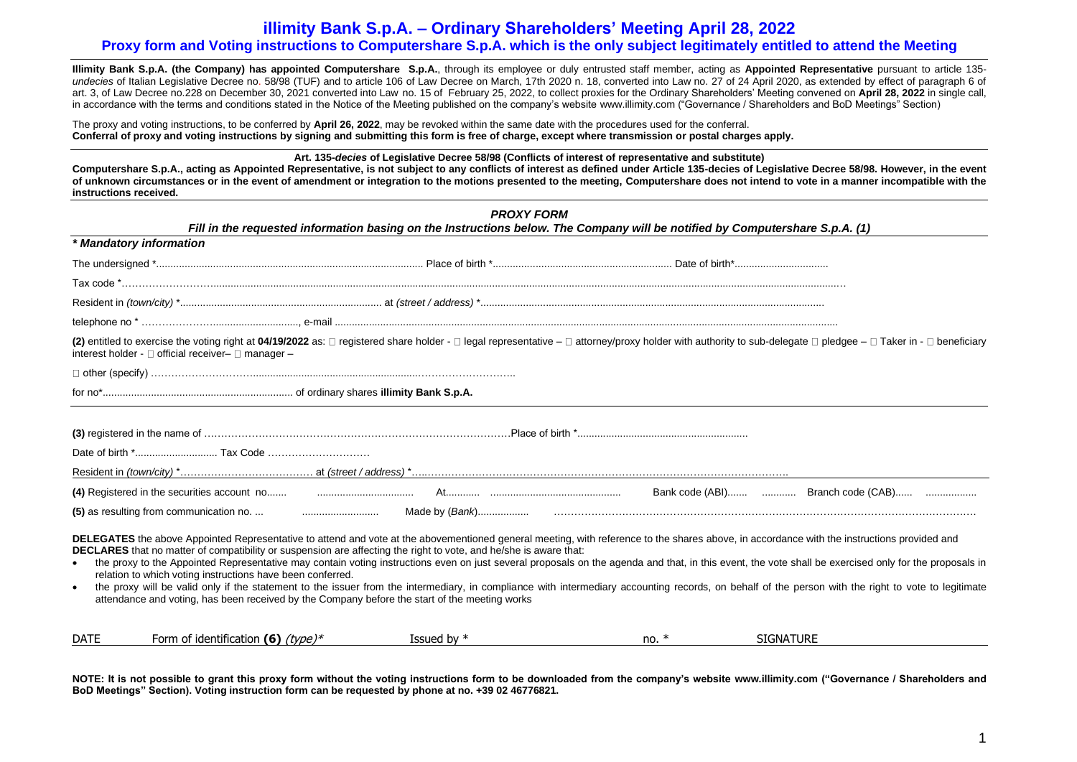# **illimity Bank S.p.A. – Ordinary Shareholders' Meeting April 28, 2022**

# **Proxy form and Voting instructions to Computershare S.p.A. which is the only subject legitimately entitled to attend the Meeting**

**Illimity Bank S.p.A. (the Company) has appointed Computershare S.p.A.**, through its employee or duly entrusted staff member, acting as **Appointed Representative** pursuant to article 135 *undecies* of Italian Legislative Decree no. 58/98 (TUF) and to article 106 of Law Decree on March, 17th 2020 n. 18, converted into Law no. 27 of 24 April 2020, as extended by effect of paragraph 6 of art. 3, of Law Decree no.228 on December 30, 2021 converted into Law no. 15 of February 25, 2022, to collect proxies for the Ordinary Shareholders' Meeting convened on **April 28, 2022** in single call, in accordance with the terms and conditions stated in the Notice of the Meeting published on the company's website [www.illimity.com](http://www.illimity.com/) ("Governance / Shareholders and BoD Meetings" Section)

The proxy and voting instructions, to be conferred by **April 26, 2022**, may be revoked within the same date with the procedures used for the conferral. **Conferral of proxy and voting instructions by signing and submitting this form is free of charge, except where transmission or postal charges apply.**

**Art. 135-***decies* **of Legislative Decree 58/98 (Conflicts of interest of representative and substitute)** 

**Computershare S.p.A., acting as Appointed Representative, is not subject to any conflicts of interest as defined under Article 135-decies of Legislative Decree 58/98. However, in the event of unknown circumstances or in the event of amendment or integration to the motions presented to the meeting, Computershare does not intend to vote in a manner incompatible with the instructions received.**

|                        |                                                                                                                                                                                                                                                                                                                                                                                                                                                                                 | <b>PROXY FORM</b><br>Fill in the requested information basing on the Instructions below. The Company will be notified by Computershare S.p.A. (1) |         |                                                                                                                                                                                                                                                                                                                                                                                                              |
|------------------------|---------------------------------------------------------------------------------------------------------------------------------------------------------------------------------------------------------------------------------------------------------------------------------------------------------------------------------------------------------------------------------------------------------------------------------------------------------------------------------|---------------------------------------------------------------------------------------------------------------------------------------------------|---------|--------------------------------------------------------------------------------------------------------------------------------------------------------------------------------------------------------------------------------------------------------------------------------------------------------------------------------------------------------------------------------------------------------------|
|                        | * Mandatory information                                                                                                                                                                                                                                                                                                                                                                                                                                                         |                                                                                                                                                   |         |                                                                                                                                                                                                                                                                                                                                                                                                              |
|                        |                                                                                                                                                                                                                                                                                                                                                                                                                                                                                 |                                                                                                                                                   |         |                                                                                                                                                                                                                                                                                                                                                                                                              |
|                        |                                                                                                                                                                                                                                                                                                                                                                                                                                                                                 |                                                                                                                                                   |         |                                                                                                                                                                                                                                                                                                                                                                                                              |
|                        |                                                                                                                                                                                                                                                                                                                                                                                                                                                                                 |                                                                                                                                                   |         |                                                                                                                                                                                                                                                                                                                                                                                                              |
|                        |                                                                                                                                                                                                                                                                                                                                                                                                                                                                                 |                                                                                                                                                   |         |                                                                                                                                                                                                                                                                                                                                                                                                              |
|                        | interest holder - □ official receiver- □ manager -                                                                                                                                                                                                                                                                                                                                                                                                                              |                                                                                                                                                   |         | (2) entitled to exercise the voting right at 04/19/2022 as: □ registered share holder - □ legal representative - □ attorney/proxy holder with authority to sub-delegate □ pledgee - □ Taker in - □ beneficiary                                                                                                                                                                                               |
|                        |                                                                                                                                                                                                                                                                                                                                                                                                                                                                                 |                                                                                                                                                   |         |                                                                                                                                                                                                                                                                                                                                                                                                              |
|                        |                                                                                                                                                                                                                                                                                                                                                                                                                                                                                 |                                                                                                                                                   |         |                                                                                                                                                                                                                                                                                                                                                                                                              |
|                        |                                                                                                                                                                                                                                                                                                                                                                                                                                                                                 |                                                                                                                                                   |         |                                                                                                                                                                                                                                                                                                                                                                                                              |
|                        |                                                                                                                                                                                                                                                                                                                                                                                                                                                                                 |                                                                                                                                                   |         |                                                                                                                                                                                                                                                                                                                                                                                                              |
|                        |                                                                                                                                                                                                                                                                                                                                                                                                                                                                                 |                                                                                                                                                   |         |                                                                                                                                                                                                                                                                                                                                                                                                              |
| $\bullet$<br>$\bullet$ | DELEGATES the above Appointed Representative to attend and vote at the abovementioned general meeting, with reference to the shares above, in accordance with the instructions provided and<br>DECLARES that no matter of compatibility or suspension are affecting the right to vote, and he/she is aware that:<br>relation to which voting instructions have been conferred.<br>attendance and voting, has been received by the Company before the start of the meeting works |                                                                                                                                                   |         | the proxy to the Appointed Representative may contain voting instructions even on just several proposals on the agenda and that, in this event, the vote shall be exercised only for the proposals in<br>the proxy will be valid only if the statement to the issuer from the intermediary, in compliance with intermediary accounting records, on behalf of the person with the right to vote to legitimate |
| <b>DATE</b>            | Form of identification (6) $(type)^*$                                                                                                                                                                                                                                                                                                                                                                                                                                           | Issued by $*$                                                                                                                                     | no. $*$ | <b>SIGNATURE</b>                                                                                                                                                                                                                                                                                                                                                                                             |

**NOTE: It is not possible to grant this proxy form without the voting instructions form to be downloaded from the company's website [www.illimity.com](http://www.illimity.com/) ("Governance / Shareholders and BoD Meetings" Section). Voting instruction form can be requested by phone at no. +39 02 46776821.**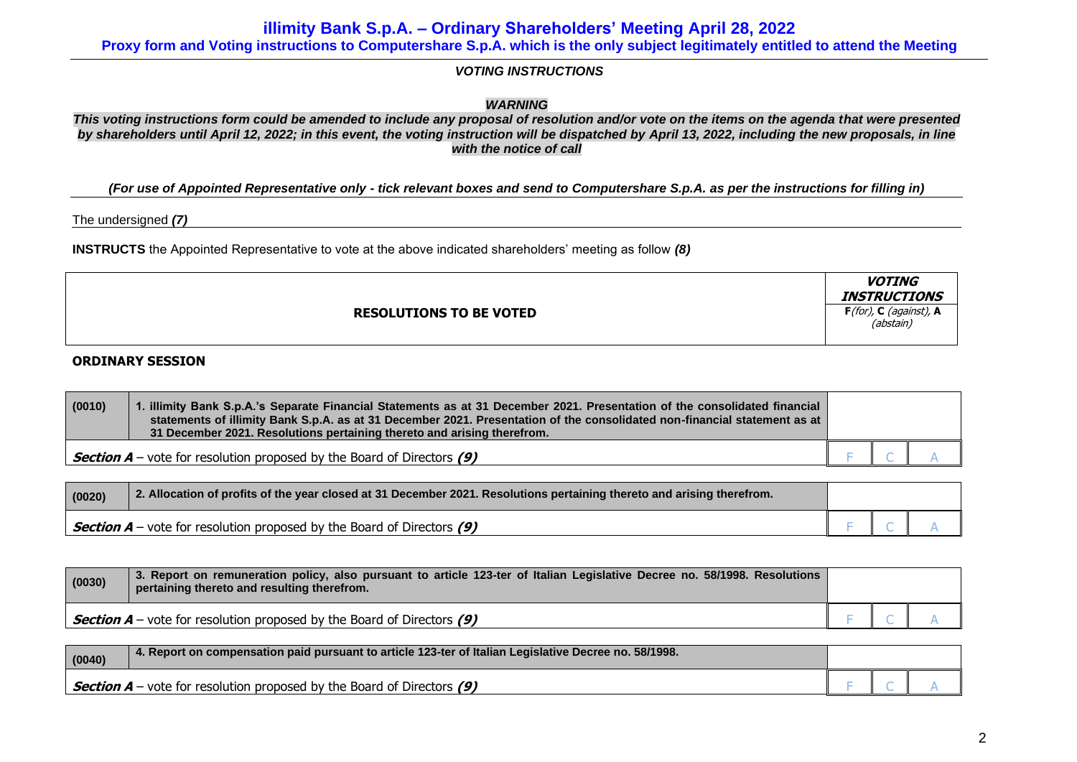**illimity Bank S.p.A. – Ordinary Shareholders' Meeting April 28, 2022**

**Proxy form and Voting instructions to Computershare S.p.A. which is the only subject legitimately entitled to attend the Meeting**

*VOTING INSTRUCTIONS*

*WARNING*

*This voting instructions form could be amended to include any proposal of resolution and/or vote on the items on the agenda that were presented by shareholders until April 12, 2022; in this event, the voting instruction will be dispatched by April 13, 2022, including the new proposals, in line with the notice of call*

*(For use of Appointed Representative only - tick relevant boxes and send to Computershare S.p.A. as per the instructions for filling in)*

The undersigned *(7)*

**INSTRUCTS** the Appointed Representative to vote at the above indicated shareholders' meeting as follow *(8)*

|                                | <b>VOTING</b><br><b>INSTRUCTIONS</b>       |
|--------------------------------|--------------------------------------------|
| <b>RESOLUTIONS TO BE VOTED</b> | $F($ for $)$ , C (against), A<br>(abstain) |

# **ORDINARY SESSION**

| (0010) | 1. illimity Bank S.p.A.'s Separate Financial Statements as at 31 December 2021. Presentation of the consolidated financial<br>statements of illimity Bank S.p.A. as at 31 December 2021. Presentation of the consolidated non-financial statement as at<br>31 December 2021. Resolutions pertaining thereto and arising therefrom. |  |  |
|--------|------------------------------------------------------------------------------------------------------------------------------------------------------------------------------------------------------------------------------------------------------------------------------------------------------------------------------------|--|--|
|        | <b>Section A</b> – vote for resolution proposed by the Board of Directors (9)                                                                                                                                                                                                                                                      |  |  |

| (0020) | 2. Allocation of profits of the year closed at 31 December 2021. Resolutions pertaining thereto and arising therefrom. |  |  |
|--------|------------------------------------------------------------------------------------------------------------------------|--|--|
|        | <b>Section A</b> – vote for resolution proposed by the Board of Directors (9)                                          |  |  |

| (0030) | 3. Report on remuneration policy, also pursuant to article 123-ter of Italian Legislative Decree no. 58/1998. Resolutions<br>pertaining thereto and resulting therefrom. |  |  |
|--------|--------------------------------------------------------------------------------------------------------------------------------------------------------------------------|--|--|
|        | <b>Section A</b> – vote for resolution proposed by the Board of Directors (9)                                                                                            |  |  |

| (0040) | 4. Report on compensation paid pursuant to article 123-ter of Italian Legislative Decree no. 58/1998. |  |  |
|--------|-------------------------------------------------------------------------------------------------------|--|--|
|        | $\sim$ <b>Section A</b> – vote for resolution proposed by the Board of Directors (9)                  |  |  |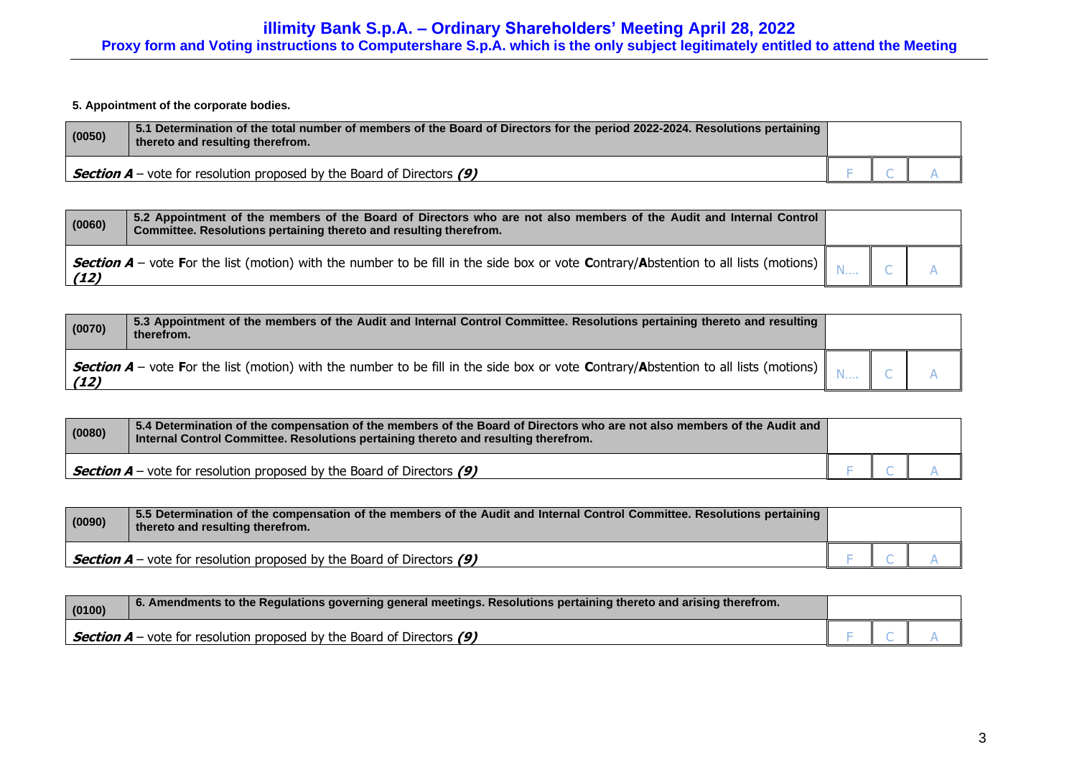**5. Appointment of the corporate bodies.**

| (0050) | 5.1 Determination of the total number of members of the Board of Directors for the period 2022-2024. Resolutions pertaining<br>thereto and resulting therefrom. |  |  |
|--------|-----------------------------------------------------------------------------------------------------------------------------------------------------------------|--|--|
|        | <b>Section A</b> – vote for resolution proposed by the Board of Directors $(9)$                                                                                 |  |  |

| (0060) | 5.2 Appointment of the members of the Board of Directors who are not also members of the Audit and Internal Control<br>Committee. Resolutions pertaining thereto and resulting therefrom. |  |  |
|--------|-------------------------------------------------------------------------------------------------------------------------------------------------------------------------------------------|--|--|
| (12)   | Section A – vote For the list (motion) with the number to be fill in the side box or vote Contrary/Abstention to all lists (motions)                                                      |  |  |

| (0070) | 5.3 Appointment of the members of the Audit and Internal Control Committee. Resolutions pertaining thereto and resulting<br>therefrom.   |  |  |
|--------|------------------------------------------------------------------------------------------------------------------------------------------|--|--|
| (12)   | Section A - vote For the list (motion) with the number to be fill in the side box or vote Contrary/Abstention to all lists (motions)   N |  |  |

| (0080) | 5.4 Determination of the compensation of the members of the Board of Directors who are not also members of the Audit and<br>(Internal Control Committee. Resolutions pertaining thereto and resulting therefrom. |  |  |
|--------|------------------------------------------------------------------------------------------------------------------------------------------------------------------------------------------------------------------|--|--|
|        | <b>Section A</b> – vote for resolution proposed by the Board of Directors $(9)$                                                                                                                                  |  |  |

| (0090) | 5.5 Determination of the compensation of the members of the Audit and Internal Control Committee. Resolutions pertaining<br>thereto and resulting therefrom. |  |  |
|--------|--------------------------------------------------------------------------------------------------------------------------------------------------------------|--|--|
|        | <b>Section A</b> – vote for resolution proposed by the Board of Directors $(9)$                                                                              |  |  |

| (0100) | 6. Amendments to the Regulations governing general meetings. Resolutions pertaining thereto and arising therefrom. |  |  |
|--------|--------------------------------------------------------------------------------------------------------------------|--|--|
|        | <b>Section A</b> – vote for resolution proposed by the Board of Directors $(9)$                                    |  |  |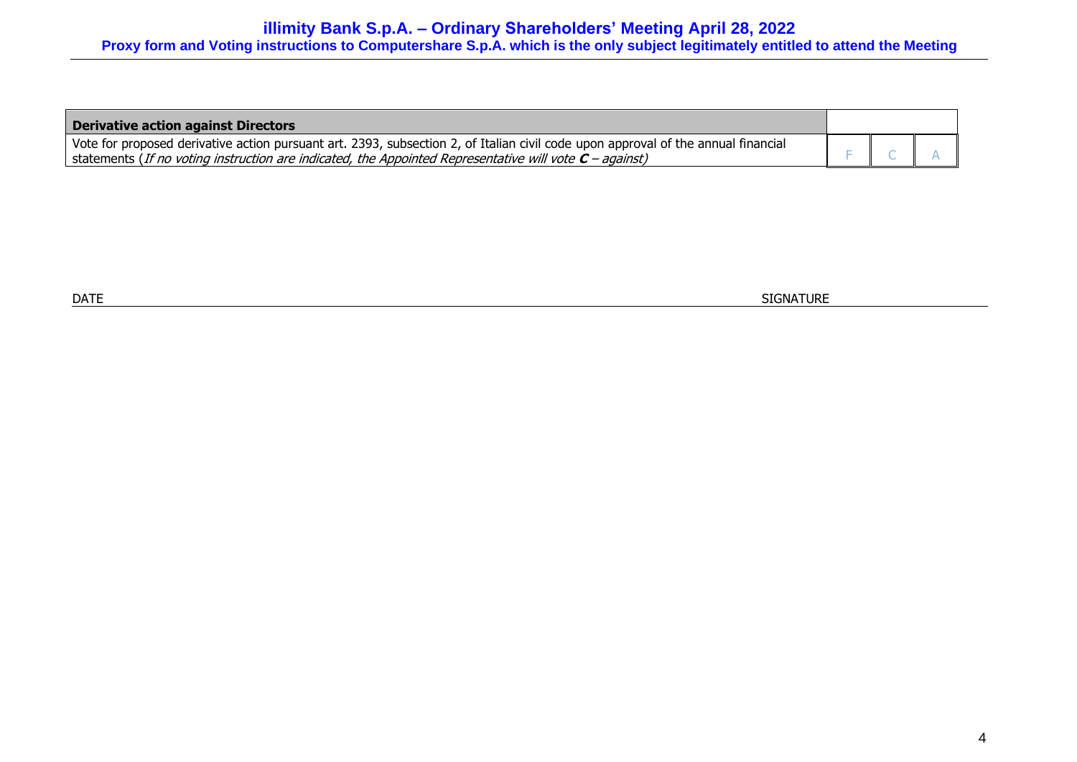| Derivative action against Directors                                                                                               |  |  |
|-----------------------------------------------------------------------------------------------------------------------------------|--|--|
| Vote for proposed derivative action pursuant art. 2393, subsection 2, of Italian civil code upon approval of the annual financial |  |  |
| statements (If no voting instruction are indicated, the Appointed Representative will vote $C$ – against)                         |  |  |

 $\blacksquare$  DATE  $\blacksquare$  SIGNATURE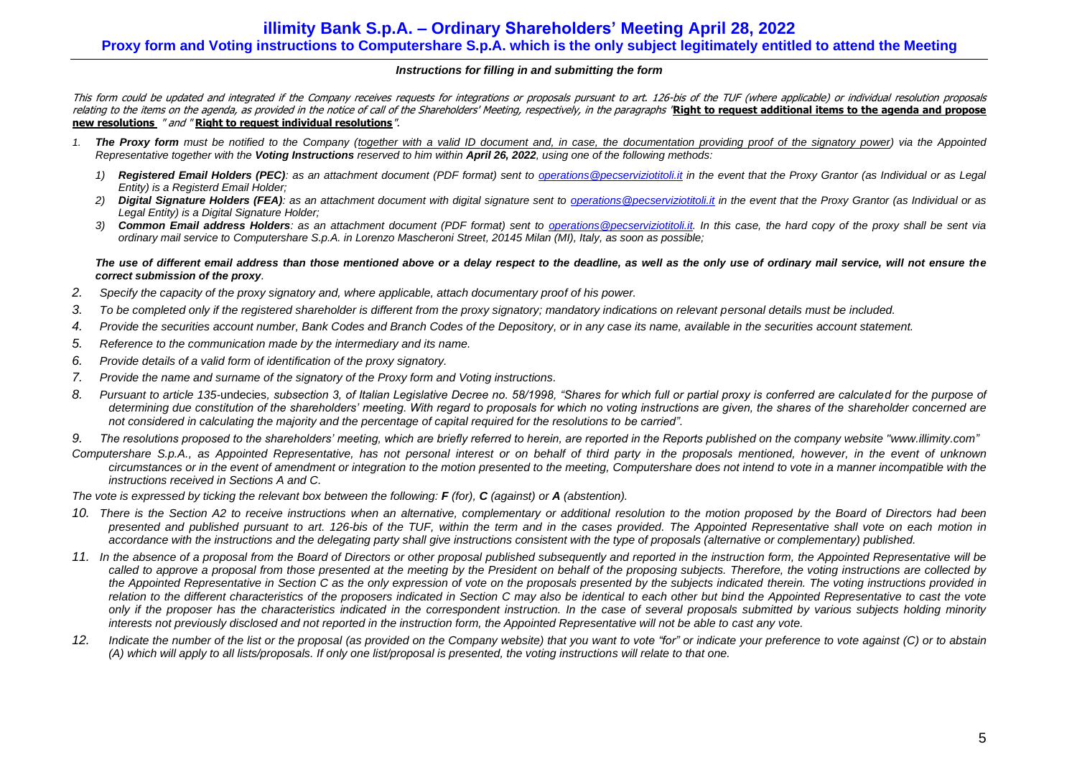### *Instructions for filling in and submitting the form*

This form could be updated and integrated if the Company receives requests for integrations or proposals pursuant to art. 126-bis of the TUF (where applicable) or individual resolution proposals relating to the items on the agenda, as provided in the notice of call of the Shareholders' Meeting, respectively, in the paragraphs "**Right to request additional items to the agenda and propose new resolutions** " and " **Right to request individual resolutions**".

- *1. The Proxy form must be notified to the Company (together with a valid ID document and, in case, the documentation providing proof of the signatory power) via the Appointed Representative together with the Voting Instructions reserved to him within April 26, 2022, using one of the following methods:*
	- *1) Registered Email Holders (PEC): as an attachment document (PDF format) sent to [operations@pecserviziotitoli.it](mailto:operations@pecserviziotitoli.it) in the event that the Proxy Grantor (as Individual or as Legal Entity) is a Registerd Email Holder;*
	- *2) Digital Signature Holders (FEA): as an attachment document with digital signature sent to [operations@pecserviziotitoli.it](mailto:operations@pecserviziotitoli.it) in the event that the Proxy Grantor (as Individual or as Legal Entity) is a Digital Signature Holder;*
	- *3) Common Email address Holders: as an attachment document (PDF format) sent to [operations@pecserviziotitoli.it.](mailto:operations@pecserviziotitoli.it) In this case, the hard copy of the proxy shall be sent via ordinary mail service to Computershare S.p.A. in Lorenzo Mascheroni Street, 20145 Milan (MI), Italy, as soon as possible;*

#### *The use of different email address than those mentioned above or a delay respect to the deadline, as well as the only use of ordinary mail service, will not ensure the correct submission of the proxy.*

- *2. Specify the capacity of the proxy signatory and, where applicable, attach documentary proof of his power.*
- *3. To be completed only if the registered shareholder is different from the proxy signatory; mandatory indications on relevant personal details must be included.*
- *4. Provide the securities account number, Bank Codes and Branch Codes of the Depository, or in any case its name, available in the securities account statement.*
- *5. Reference to the communication made by the intermediary and its name.*
- *6. Provide details of a valid form of identification of the proxy signatory.*
- *7. Provide the name and surname of the signatory of the Proxy form and Voting instructions.*
- *8. Pursuant to article 135-*undecies*, subsection 3, of Italian Legislative Decree no. 58/1998, "Shares for which full or partial proxy is conferred are calculated for the purpose of determining due constitution of the shareholders' meeting. With regard to proposals for which no voting instructions are given, the shares of the shareholder concerned are not considered in calculating the majority and the percentage of capital required for the resolutions to be carried".*
- *9. The resolutions proposed to the shareholders' meeting, which are briefly referred to herein, are reported in the Reports published on the company website ["www.illimity.com"](http://www.illimity.com/)*
- *Computershare S.p.A., as Appointed Representative, has not personal interest or on behalf of third party in the proposals mentioned, however, in the event of unknown circumstances or in the event of amendment or integration to the motion presented to the meeting, Computershare does not intend to vote in a manner incompatible with the instructions received in Sections A and C.*

*The vote is expressed by ticking the relevant box between the following: F (for), C (against) or A (abstention).*

- *10. There is the Section A2 to receive instructions when an alternative, complementary or additional resolution to the motion proposed by the Board of Directors had been presented and published pursuant to art. 126-bis of the TUF, within the term and in the cases provided. The Appointed Representative shall vote on each motion in accordance with the instructions and the delegating party shall give instructions consistent with the type of proposals (alternative or complementary) published.*
- *11. In the absence of a proposal from the Board of Directors or other proposal published subsequently and reported in the instruction form, the Appointed Representative will be called to approve a proposal from those presented at the meeting by the President on behalf of the proposing subjects. Therefore, the voting instructions are collected by*  the Appointed Representative in Section C as the only expression of vote on the proposals presented by the subjects indicated therein. The voting instructions provided in *relation to the different characteristics of the proposers indicated in Section C may also be identical to each other but bind the Appointed Representative to cast the vote only if the proposer has the characteristics indicated in the correspondent instruction. In the case of several proposals submitted by various subjects holding minority interests not previously disclosed and not reported in the instruction form, the Appointed Representative will not be able to cast any vote.*
- *12. Indicate the number of the list or the proposal (as provided on the Company website) that you want to vote "for" or indicate your preference to vote against (C) or to abstain (A) which will apply to all lists/proposals. If only one list/proposal is presented, the voting instructions will relate to that one.*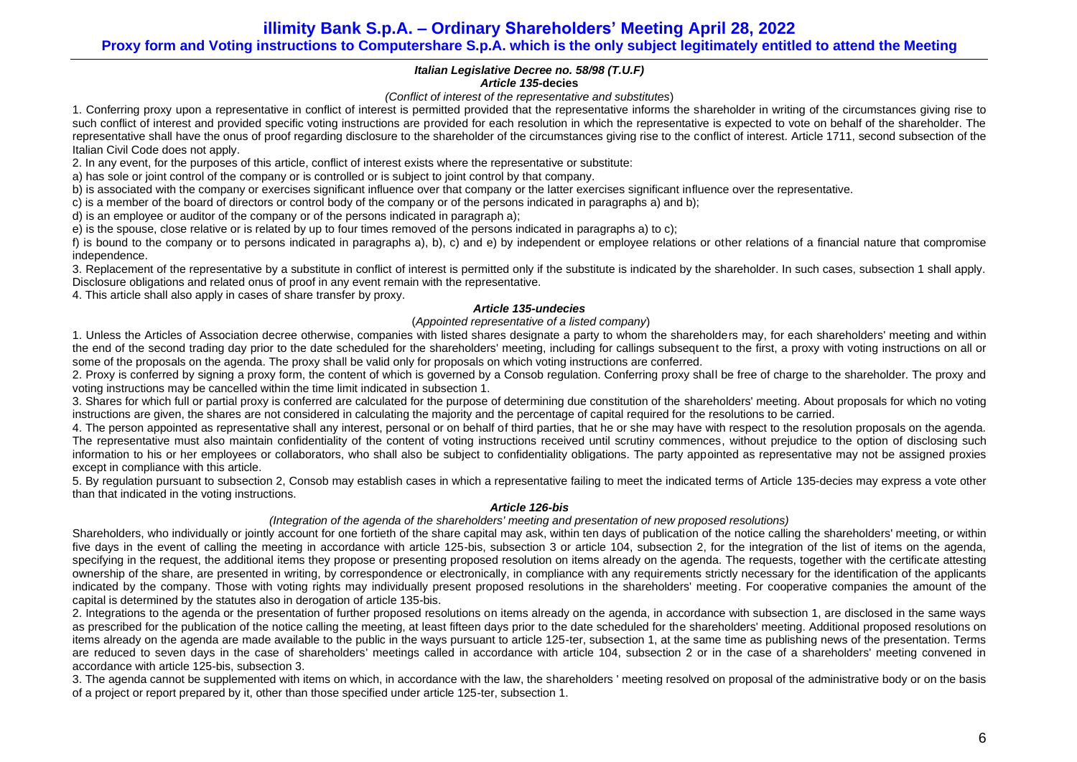**illimity Bank S.p.A. – Ordinary Shareholders' Meeting April 28, 2022 Proxy form and Voting instructions to Computershare S.p.A. which is the only subject legitimately entitled to attend the Meeting**

### *Italian Legislative Decree no. 58/98 (T.U.F) Article 135-***decies**

*(Conflict of interest of the representative and substitutes*)

1. Conferring proxy upon a representative in conflict of interest is permitted provided that the representative informs the shareholder in writing of the circumstances giving rise to such conflict of interest and provided specific voting instructions are provided for each resolution in which the representative is expected to vote on behalf of the shareholder. The representative shall have the onus of proof regarding disclosure to the shareholder of the circumstances giving rise to the conflict of interest. Article 1711, second subsection of the Italian Civil Code does not apply.

2. In any event, for the purposes of this article, conflict of interest exists where the representative or substitute:

a) has sole or joint control of the company or is controlled or is subject to joint control by that company.

b) is associated with the company or exercises significant influence over that company or the latter exercises significant influence over the representative.

c) is a member of the board of directors or control body of the company or of the persons indicated in paragraphs a) and b);

d) is an employee or auditor of the company or of the persons indicated in paragraph a);

e) is the spouse, close relative or is related by up to four times removed of the persons indicated in paragraphs a) to c);

f) is bound to the company or to persons indicated in paragraphs a), b), c) and e) by independent or employee relations or other relations of a financial nature that compromise independence.

3. Replacement of the representative by a substitute in conflict of interest is permitted only if the substitute is indicated by the shareholder. In such cases, subsection 1 shall apply. Disclosure obligations and related onus of proof in any event remain with the representative.

4. This article shall also apply in cases of share transfer by proxy.

# *Article 135-undecies*

# (*Appointed representative of a listed company*)

1. Unless the Articles of Association decree otherwise, companies with listed shares designate a party to whom the shareholders may, for each shareholders' meeting and within the end of the second trading day prior to the date scheduled for the shareholders' meeting, including for callings subsequent to the first, a proxy with voting instructions on all or some of the proposals on the agenda. The proxy shall be valid only for proposals on which voting instructions are conferred.

2. Proxy is conferred by signing a proxy form, the content of which is governed by a Consob regulation. Conferring proxy shall be free of charge to the shareholder. The proxy and voting instructions may be cancelled within the time limit indicated in subsection 1.

3. Shares for which full or partial proxy is conferred are calculated for the purpose of determining due constitution of the shareholders' meeting. About proposals for which no voting instructions are given, the shares are not considered in calculating the majority and the percentage of capital required for the resolutions to be carried.

4. The person appointed as representative shall any interest, personal or on behalf of third parties, that he or she may have with respect to the resolution proposals on the agenda. The representative must also maintain confidentiality of the content of voting instructions received until scrutiny commences, without prejudice to the option of disclosing such information to his or her employees or collaborators, who shall also be subject to confidentiality obligations. The party appointed as representative may not be assigned proxies except in compliance with this article.

5. By regulation pursuant to subsection 2, Consob may establish cases in which a representative failing to meet the indicated terms of Article 135-decies may express a vote other than that indicated in the voting instructions.

#### *Article 126-bis*

# *(Integration of the agenda of the shareholders' meeting and presentation of new proposed resolutions)*

Shareholders, who individually or jointly account for one fortieth of the share capital may ask, within ten days of publication of the notice calling the shareholders' meeting, or within five days in the event of calling the meeting in accordance with article 125-bis, subsection 3 or article 104, subsection 2, for the integration of the list of items on the agenda, specifying in the request, the additional items they propose or presenting proposed resolution on items already on the agenda. The requests, together with the certificate attesting ownership of the share, are presented in writing, by correspondence or electronically, in compliance with any requirements strictly necessary for the identification of the applicants indicated by the company. Those with voting rights may individually present proposed resolutions in the shareholders' meeting. For cooperative companies the amount of the capital is determined by the statutes also in derogation of article 13[5-bis.](http://www.consob.it/mainen/documenti/english/laws/fr_decree58_1998.htm#sdfootnote595bissym) 

2. Integrations to the agenda or the presentation of further proposed resolutions on items already on the agenda, in accordance with subsection 1, are disclosed in the same ways as prescribed for the publication of the notice calling the meeting, at least fifteen days prior to the date scheduled for the shareholders' meeting. Additional proposed resolutions on items already on the agenda are made available to the public in the ways pursuant to article 125-ter, subsection 1, at the same time as publishing news of the presentation. Terms are reduced to seven days in the case of shareholders' meetings called in accordance with article 104, subsection 2 or in the case of a shareholders' meeting convened in accordance with article 125-bis, subsection 3.

3. The agenda cannot be supplemented with items on which, in accordance with the law, the shareholders ' meeting resolved on proposal of the administrative body or on the basis of a project or report prepared by it, other than those specified under article 125-ter, subsection 1.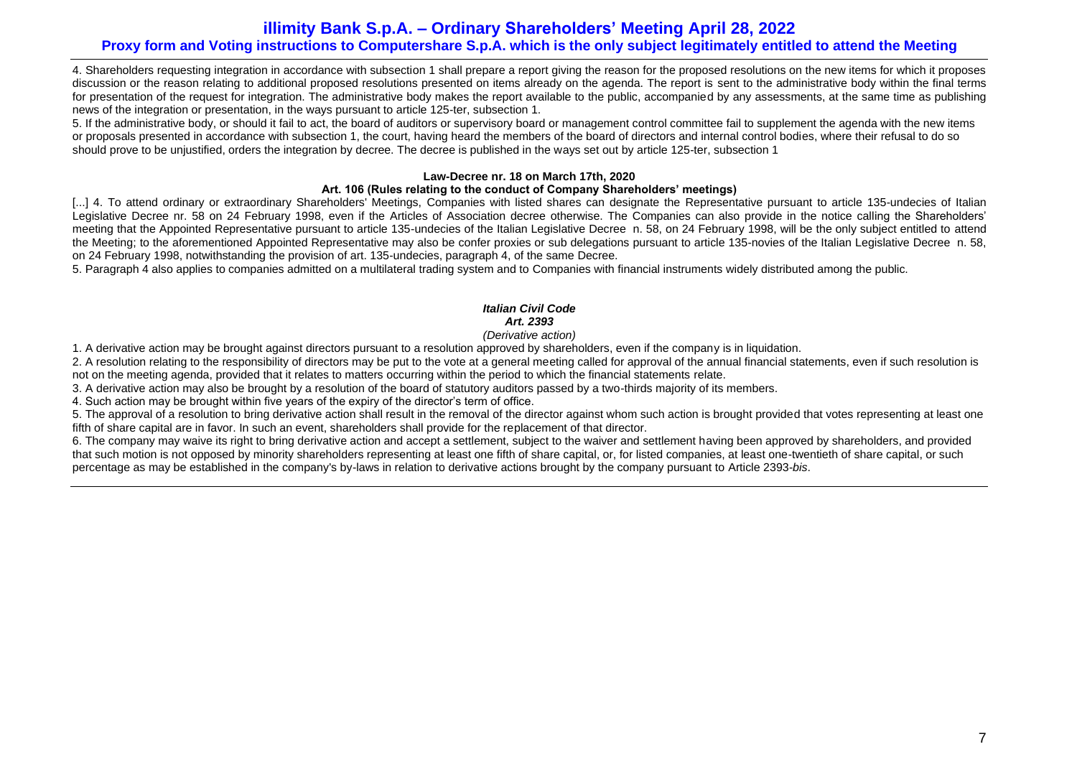# **illimity Bank S.p.A. – Ordinary Shareholders' Meeting April 28, 2022 Proxy form and Voting instructions to Computershare S.p.A. which is the only subject legitimately entitled to attend the Meeting**

4. Shareholders requesting integration in accordance with subsection 1 shall prepare a report giving the reason for the proposed resolutions on the new items for which it proposes discussion or the reason relating to additional proposed resolutions presented on items already on the agenda. The report is sent to the administrative body within the final terms for presentation of the request for integration. The administrative body makes the report available to the public, accompanied by any assessments, at the same time as publishing news of the integration or presentation, in the ways pursuant to article 125-ter, subsection 1.

5. If the administrative body, or should it fail to act, the board of auditors or supervisory board or management control committee fail to supplement the agenda with the new items or proposals presented in accordance with subsection 1, the court, having heard the members of the board of directors and internal control bodies, where their refusal to do so should prove to be unjustified, orders the integration by decree. The decree is published in the ways set out by article 125-ter, subsection 1

# **Law-Decree nr. 18 on March 17th, 2020**

# **Art. 106 (Rules relating to the conduct of Company Shareholders' meetings)**

[...] 4. To attend ordinary or extraordinary Shareholders' Meetings, Companies with listed shares can designate the Representative pursuant to article 135-undecies of Italian Legislative Decree nr. 58 on 24 February 1998, even if the Articles of Association decree otherwise. The Companies can also provide in the notice calling the Shareholders' meeting that the Appointed Representative pursuant to article 135-undecies of the Italian Legislative Decree n. 58, on 24 February 1998, will be the only subject entitled to attend the Meeting; to the aforementioned Appointed Representative may also be confer proxies or sub delegations pursuant to article 135-novies of the Italian Legislative Decree n. 58, on 24 February 1998, notwithstanding the provision of art. 135-undecies, paragraph 4, of the same Decree.

5. Paragraph 4 also applies to companies admitted on a multilateral trading system and to Companies with financial instruments widely distributed among the public.

# *Italian Civil Code Art. 2393*

# *(Derivative action)*

1. A derivative action may be brought against directors pursuant to a resolution approved by shareholders, even if the company is in liquidation.

2. A resolution relating to the responsibility of directors may be put to the vote at a general meeting called for approval of the annual financial statements, even if such resolution is not on the meeting agenda, provided that it relates to matters occurring within the period to which the financial statements relate.

3. A derivative action may also be brought by a resolution of the board of statutory auditors passed by a two-thirds majority of its members.

4. Such action may be brought within five years of the expiry of the director's term of office.

5. The approval of a resolution to bring derivative action shall result in the removal of the director against whom such action is brought provided that votes representing at least one fifth of share capital are in favor. In such an event, shareholders shall provide for the replacement of that director.

6. The company may waive its right to bring derivative action and accept a settlement, subject to the waiver and settlement having been approved by shareholders, and provided that such motion is not opposed by minority shareholders representing at least one fifth of share capital, or, for listed companies, at least one-twentieth of share capital, or such percentage as may be established in the company's by-laws in relation to derivative actions brought by the company pursuant to Article 2393-*bis*.